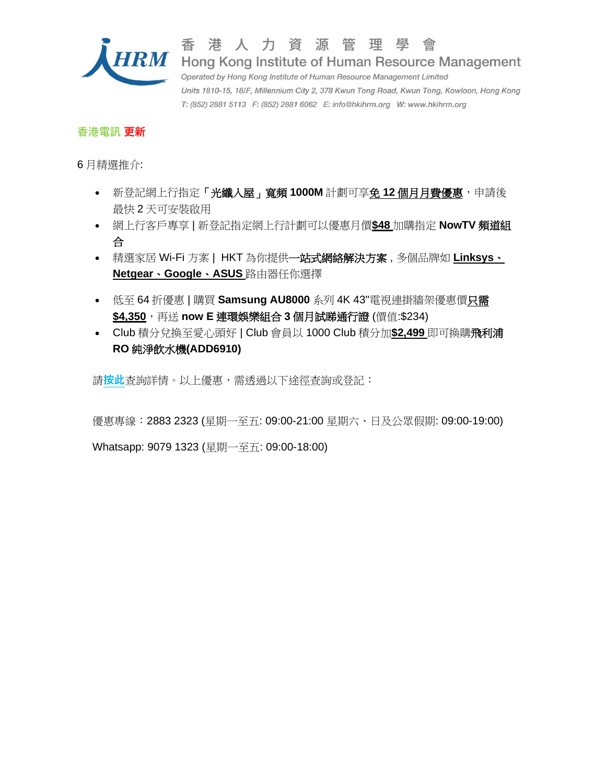

香

港人力資源管理學會  $HRM$  Hong Kong Institute of Human Resource Management Operated by Hong Kong Institute of Human Resource Management Limited Units 1810-15, 18/F, Millennium City 2, 378 Kwun Tong Road, Kwun Tong, Kowloon, Hong Kong T: (852) 2881 5113 F: (852) 2881 6062 E: info@hkihrm.org W: www.hkihrm.org

## **香港電訊 更新**

6 月精選推介:

- 新登記網上行指定「光纖入屋」寬頻 **1000M** 計劃可享免 **12** 個月月費優惠,申請後 最快 2 天可安裝啟用
- 網上行客戶專享 | 新登記指定網上行計劃可以優惠月價**\$48** 加購指定 **NowTV** 頻道組 合
- 精選家居 Wi-Fi 方案 | HKT 為你提供一站式網絡解決方案 , 多個品牌如 **Linksys**、 **Netgear**、**Google**、**ASUS** 路由器任你選擇
- 低至 64 折優惠 | 購買 **Samsung AU8000** 系列 4K 43"電視連掛牆架優惠價只需 **\$4,350**,再送 **now E** 連環娛樂組合 **3** 個月試睇通行證 (價值:\$234)
- Club 積分兌換至愛心頭好 | Club 會員以 1000 Club 積分加**\$2,499** 即可換購飛利浦 **RO** 純淨飲水機**(ADD6910)**

請**[按此](https://www.hkihrm.org/phocadownload/membership/services_and_benefits/HKT_Corporate_Employee_Offer_JUNE_CHI.pdf)**查詢詳情。以上優惠,需透過以下途徑查詢或登記:

優惠專線:2883 2323 (星期一至五: 09:00-21:00 星期六、日及公眾假期: 09:00-19:00)

Whatsapp: 9079 1323 (星期一至五: 09:00-18:00)